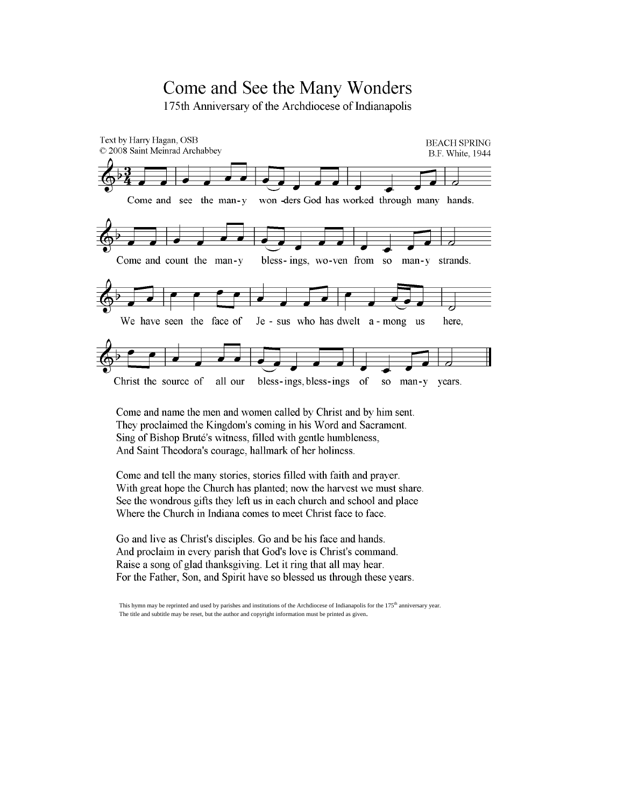## Come and See the Many Wonders

175th Anniversary of the Archdiocese of Indianapolis



Come and name the men and women called by Christ and by him sent. They proclaimed the Kingdom's coming in his Word and Sacrament. Sing of Bishop Bruté's witness, filled with gentle humbleness, And Saint Theodora's courage, hallmark of her holiness.

Come and tell the many stories, stories filled with faith and prayer. With great hope the Church has planted; now the harvest we must share. See the wondrous gifts they left us in each church and school and place Where the Church in Indiana comes to meet Christ face to face.

Go and live as Christ's disciples. Go and be his face and hands. And proclaim in every parish that God's love is Christ's command. Raise a song of glad thanksgiving. Let it ring that all may hear. For the Father, Son, and Spirit have so blessed us through these years.

This hymn may be reprinted and used by parishes and institutions of the Archdiocese of Indianapolis for the 175<sup>th</sup> anniversary year. The title and subtitle may be reset, but the author and copyright information must be printed as given.